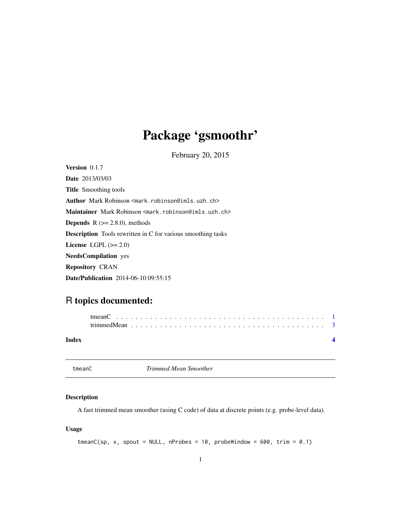## <span id="page-0-0"></span>Package 'gsmoothr'

February 20, 2015

Version 0.1.7 Date 2013/03/03 Title Smoothing tools Author Mark Robinson <mark.robinson@imls.uzh.ch> Maintainer Mark Robinson <mark.robinson@imls.uzh.ch> **Depends**  $R$  ( $>= 2.8.0$ ), methods Description Tools rewritten in C for various smoothing tasks License LGPL  $(>= 2.0)$ NeedsCompilation yes Repository CRAN Date/Publication 2014-06-10 09:55:15

### R topics documented:

| Index |  |  |  |  |  |  |  |  |  |  |  |  |  |  |  |  |  |
|-------|--|--|--|--|--|--|--|--|--|--|--|--|--|--|--|--|--|

<span id="page-0-1"></span>tmeanC *Trimmed Mean Smoother*

#### Description

A fast trimmed mean smoother (using C code) of data at discrete points (e.g. probe-level data).

#### Usage

```
tmeanC(sp, x, spont = NULL, nProbes = 10, problemidow = 600, trim = 0.1)
```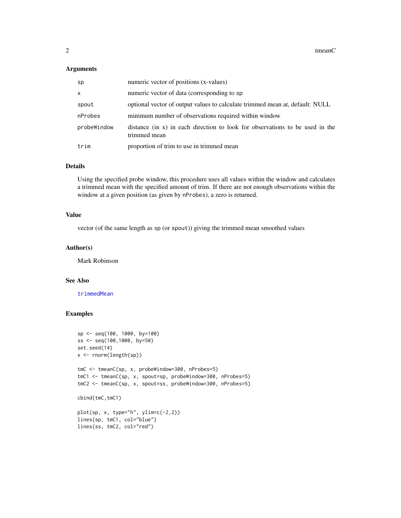#### <span id="page-1-0"></span>Arguments

| sp          | numeric vector of positions (x-values)                                                       |
|-------------|----------------------------------------------------------------------------------------------|
| X           | numeric vector of data (corresponding to sp.                                                 |
| spout       | optional vector of output values to calculate trimmed mean at, default: NULL                 |
| nProbes     | minimum number of observations required within window                                        |
| probeWindow | distance (in x) in each direction to look for observations to be used in the<br>trimmed mean |
| trim        | proportion of trim to use in trimmed mean                                                    |

#### Details

Using the specified probe window, this procedure uses all values within the window and calculates a trimmed mean with the specified amount of trim. If there are not enough observations within the window at a given position (as given by nProbes), a zero is returned.

#### Value

vector (of the same length as sp (or spout)) giving the trimmed mean smoothed values

#### Author(s)

Mark Robinson

#### See Also

[trimmedMean](#page-2-1)

#### Examples

```
sp <- seq(100, 1000, by=100)
ss <- seq(100,1000, by=50)
set.seed(14)
x <- rnorm(length(sp))
tmC <- tmeanC(sp, x, probeWindow=300, nProbes=5)
tmC1 <- tmeanC(sp, x, spout=sp, probeWindow=300, nProbes=5)
tmC2 <- tmeanC(sp, x, spout=ss, probeWindow=300, nProbes=5)
cbind(tmC,tmC1)
plot(sp, x, type="h", ylim=c(-2,2))lines(sp, tmC1, col="blue")
lines(ss, tmC2, col="red")
```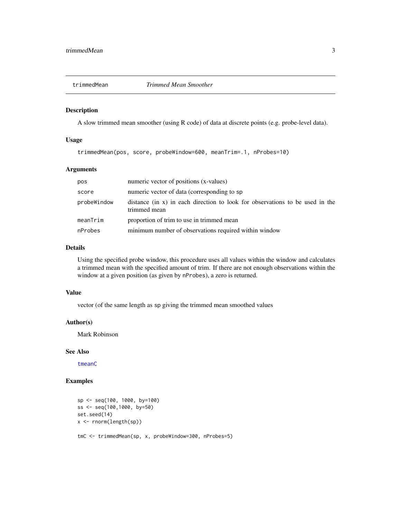<span id="page-2-1"></span><span id="page-2-0"></span>

#### Description

A slow trimmed mean smoother (using R code) of data at discrete points (e.g. probe-level data).

#### Usage

trimmedMean(pos, score, probeWindow=600, meanTrim=.1, nProbes=10)

#### Arguments

| pos           | numeric vector of positions (x-values)                                                       |
|---------------|----------------------------------------------------------------------------------------------|
| score         | numeric vector of data (corresponding to sp.                                                 |
| probeWindow   | distance (in x) in each direction to look for observations to be used in the<br>trimmed mean |
| $mean$ $Trim$ | proportion of trim to use in trimmed mean                                                    |
| nProbes       | minimum number of observations required within window                                        |

#### Details

Using the specified probe window, this procedure uses all values within the window and calculates a trimmed mean with the specified amount of trim. If there are not enough observations within the window at a given position (as given by nProbes), a zero is returned.

#### Value

vector (of the same length as sp giving the trimmed mean smoothed values

#### Author(s)

Mark Robinson

#### See Also

[tmeanC](#page-0-1)

#### Examples

```
sp <- seq(100, 1000, by=100)
ss <- seq(100,1000, by=50)
set.seed(14)
x <- rnorm(length(sp))
tmC <- trimmedMean(sp, x, probeWindow=300, nProbes=5)
```